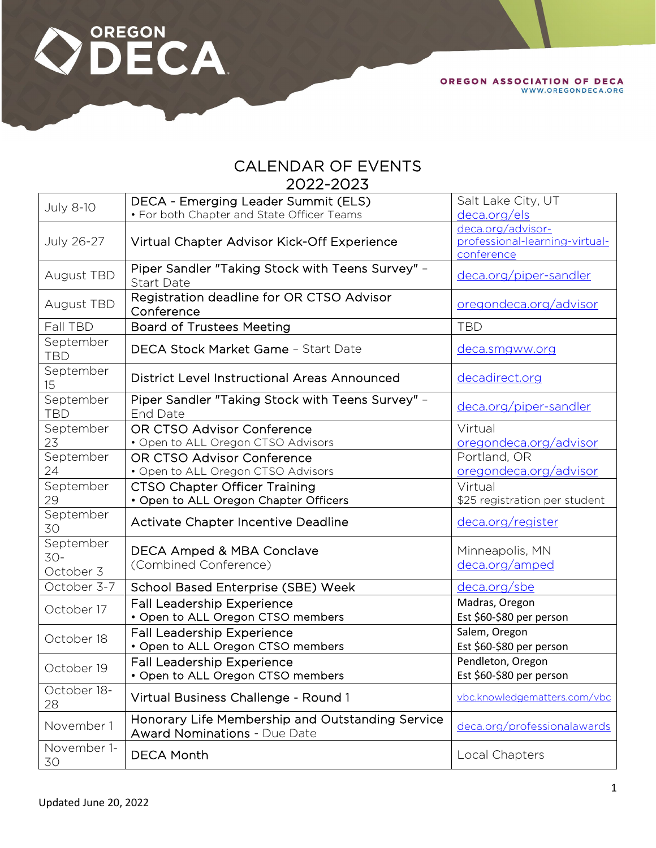

| <b>July 8-10</b>        | DECA - Emerging Leader Summit (ELS)                                                     | Salt Lake City, UT             |
|-------------------------|-----------------------------------------------------------------------------------------|--------------------------------|
|                         | • For both Chapter and State Officer Teams                                              | deca.org/els                   |
|                         |                                                                                         | deca.org/advisor-              |
| July 26-27              | Virtual Chapter Advisor Kick-Off Experience                                             | professional-learning-virtual- |
|                         |                                                                                         | conference                     |
| August TBD              | Piper Sandler "Taking Stock with Teens Survey" -<br><b>Start Date</b>                   | deca.org/piper-sandler         |
| August TBD              | Registration deadline for OR CTSO Advisor<br>Conference                                 | oregondeca.org/advisor         |
| Fall TBD                | <b>Board of Trustees Meeting</b>                                                        | <b>TBD</b>                     |
| September<br><b>TBD</b> | DECA Stock Market Game - Start Date                                                     | <u>deca.smgww.org</u>          |
| September<br>15         | <b>District Level Instructional Areas Announced</b>                                     | decadirect.org                 |
| September<br><b>TBD</b> | Piper Sandler "Taking Stock with Teens Survey" -<br>End Date                            | deca.org/piper-sandler         |
| September               | OR CTSO Advisor Conference                                                              | Virtual                        |
| 23                      | . Open to ALL Oregon CTSO Advisors                                                      | oregondeca.org/advisor         |
| September               | OR CTSO Advisor Conference                                                              | Portland, OR                   |
| 24                      | . Open to ALL Oregon CTSO Advisors                                                      | oregondeca.org/advisor         |
| September               | <b>CTSO Chapter Officer Training</b>                                                    | Virtual                        |
| 29                      | • Open to ALL Oregon Chapter Officers                                                   | \$25 registration per student  |
| September<br>30         | Activate Chapter Incentive Deadline                                                     | deca.org/register              |
| September               | <b>DECA Amped &amp; MBA Conclave</b>                                                    | Minneapolis, MN                |
| $30-$                   | (Combined Conference)                                                                   | deca.org/amped                 |
| October 3               |                                                                                         |                                |
| October 3-7             | School Based Enterprise (SBE) Week                                                      | deca.org/sbe                   |
| October 17              | <b>Fall Leadership Experience</b>                                                       | Madras, Oregon                 |
|                         | • Open to ALL Oregon CTSO members                                                       | Est \$60-\$80 per person       |
| October 18              | <b>Fall Leadership Experience</b>                                                       | Salem, Oregon                  |
|                         | • Open to ALL Oregon CTSO members                                                       | Est \$60-\$80 per person       |
|                         | <b>Fall Leadership Experience</b>                                                       | Pendleton, Oregon              |
| October 19              | • Open to ALL Oregon CTSO members                                                       | Est \$60-\$80 per person       |
| October 18-<br>28       | Virtual Business Challenge - Round 1                                                    | vbc.knowledgematters.com/vbc   |
| November 1              | Honorary Life Membership and Outstanding Service<br><b>Award Nominations - Due Date</b> | deca.org/professionalawards    |
| November 1-<br>30       | <b>DECA Month</b>                                                                       | Local Chapters                 |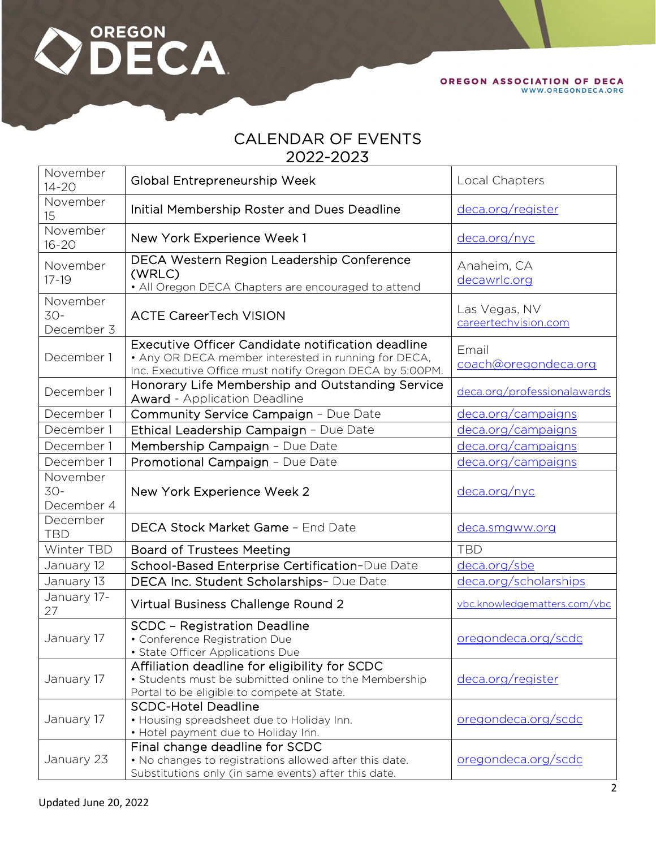# **ODECA**

| November<br>$14 - 20$           | Global Entrepreneurship Week                                                                                                                                          | Local Chapters                        |
|---------------------------------|-----------------------------------------------------------------------------------------------------------------------------------------------------------------------|---------------------------------------|
| November<br>15                  | Initial Membership Roster and Dues Deadline                                                                                                                           | deca.org/register                     |
| November<br>$16 - 20$           | New York Experience Week 1                                                                                                                                            | deca.org/nyc                          |
| November<br>$17 - 19$           | DECA Western Region Leadership Conference<br>(WRLC)<br>• All Oregon DECA Chapters are encouraged to attend                                                            | Anaheim, CA<br>decawrlc.org           |
| November<br>$30-$<br>December 3 | <b>ACTE CareerTech VISION</b>                                                                                                                                         | Las Vegas, NV<br>careertechvision.com |
| December 1                      | Executive Officer Candidate notification deadline<br>• Any OR DECA member interested in running for DECA,<br>Inc. Executive Office must notify Oregon DECA by 5:00PM. | Email<br>coach@oregondeca.org         |
| December 1                      | Honorary Life Membership and Outstanding Service<br><b>Award - Application Deadline</b>                                                                               | deca.org/professionalawards           |
| December 1                      | Community Service Campaign - Due Date                                                                                                                                 | deca.org/campaigns                    |
| December 1                      | Ethical Leadership Campaign - Due Date                                                                                                                                | deca.org/campaigns                    |
| December 1                      | Membership Campaign - Due Date                                                                                                                                        | deca.org/campaigns                    |
| December 1                      | Promotional Campaign - Due Date                                                                                                                                       | deca.org/campaigns                    |
| November<br>$30-$<br>December 4 | New York Experience Week 2                                                                                                                                            | deca.org/nyc                          |
| December<br><b>TBD</b>          | DECA Stock Market Game - End Date                                                                                                                                     | deca.smgww.org                        |
|                                 |                                                                                                                                                                       |                                       |
| Winter TBD                      | <b>Board of Trustees Meeting</b>                                                                                                                                      | <b>TBD</b>                            |
| January 12                      | School-Based Enterprise Certification-Due Date                                                                                                                        | deca.org/sbe                          |
| January 13                      | DECA Inc. Student Scholarships- Due Date                                                                                                                              | deca.org/scholarships                 |
| January 17-<br>27               | Virtual Business Challenge Round 2                                                                                                                                    | vbc.knowledgematters.com/vbc          |
| January 17                      | <b>SCDC - Registration Deadline</b><br>• Conference Registration Due<br>• State Officer Applications Due                                                              | oregondeca.org/scdc                   |
| January 17                      | Affiliation deadline for eligibility for SCDC<br>• Students must be submitted online to the Membership<br>Portal to be eligible to compete at State.                  | deca.org/register                     |
| January 17                      | <b>SCDC-Hotel Deadline</b><br>• Housing spreadsheet due to Holiday Inn.<br>• Hotel payment due to Holiday Inn.<br>Final change deadline for SCDC                      | oregondeca.org/scdc                   |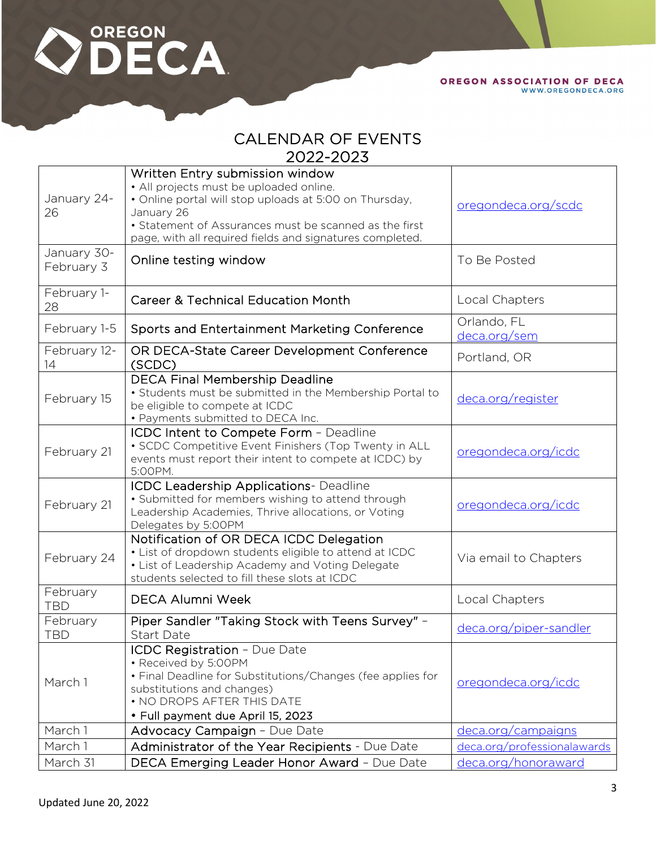## **ODECA**

OREGON ASSOCIATION OF DECA WWW.OREGONDECA.ORG

| January 24-<br>26         | Written Entry submission window<br>• All projects must be uploaded online.<br>. Online portal will stop uploads at 5:00 on Thursday,<br>January 26<br>• Statement of Assurances must be scanned as the first<br>page, with all required fields and signatures completed. | oregondeca.org/scdc         |
|---------------------------|--------------------------------------------------------------------------------------------------------------------------------------------------------------------------------------------------------------------------------------------------------------------------|-----------------------------|
| January 30-<br>February 3 | Online testing window                                                                                                                                                                                                                                                    | To Be Posted                |
| February 1-<br>28         | <b>Career &amp; Technical Education Month</b>                                                                                                                                                                                                                            | Local Chapters              |
| February 1-5              | Sports and Entertainment Marketing Conference                                                                                                                                                                                                                            | Orlando, FL<br>deca.org/sem |
| February 12-<br>14        | OR DECA-State Career Development Conference<br>(SCDC)                                                                                                                                                                                                                    | Portland, OR                |
| February 15               | <b>DECA Final Membership Deadline</b><br>• Students must be submitted in the Membership Portal to<br>be eligible to compete at ICDC<br>• Payments submitted to DECA Inc.                                                                                                 | deca.org/register           |
| February 21               | ICDC Intent to Compete Form - Deadline<br>· SCDC Competitive Event Finishers (Top Twenty in ALL<br>events must report their intent to compete at ICDC) by<br>5:00PM.                                                                                                     | <u>oregondeca.org/icdc</u>  |
| February 21               | <b>ICDC Leadership Applications- Deadline</b><br>· Submitted for members wishing to attend through<br>Leadership Academies, Thrive allocations, or Voting<br>Delegates by 5:00PM                                                                                         | oregondeca.org/icdc         |
| February 24               | Notification of OR DECA ICDC Delegation<br>· List of dropdown students eligible to attend at ICDC<br>• List of Leadership Academy and Voting Delegate<br>students selected to fill these slots at ICDC                                                                   | Via email to Chapters       |
| February<br><b>TBD</b>    | <b>DECA Alumni Week</b>                                                                                                                                                                                                                                                  | Local Chapters              |
| February<br><b>TBD</b>    | Piper Sandler "Taking Stock with Teens Survey" -<br><b>Start Date</b>                                                                                                                                                                                                    | deca.org/piper-sandler      |
| March 1                   | <b>ICDC Registration - Due Date</b><br>• Received by 5:00PM<br>• Final Deadline for Substitutions/Changes (fee applies for<br>substitutions and changes)<br>. NO DROPS AFTER THIS DATE<br>• Full payment due April 15, 2023                                              | oregondeca.org/icdc         |
| March 1                   | Advocacy Campaign - Due Date                                                                                                                                                                                                                                             | deca.org/campaigns          |
| March 1                   | Administrator of the Year Recipients - Due Date                                                                                                                                                                                                                          | deca.org/professionalawards |
| March 31                  | DECA Emerging Leader Honor Award - Due Date                                                                                                                                                                                                                              | deca.org/honoraward         |